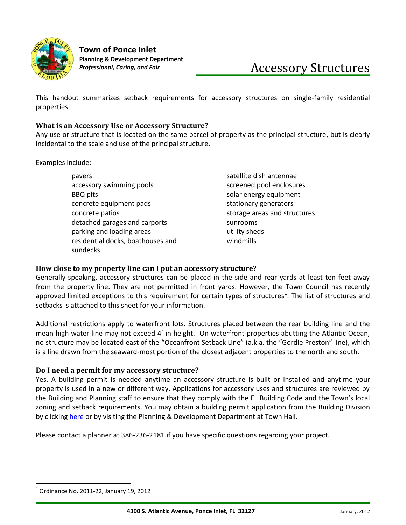

**Town of Ponce Inlet Planning & Development Department** 

This handout summarizes setback requirements for accessory structures on single-family residential properties.

## **What is an Accessory Use or Accessory Structure?**

Any use or structure that is located on the same parcel of property as the principal structure, but is clearly incidental to the scale and use of the principal structure.

Examples include:

| pavers                            | satellite dish antennae      |
|-----------------------------------|------------------------------|
| accessory swimming pools          | screened pool enclosures     |
| <b>BBQ</b> pits                   | solar energy equipment       |
| concrete equipment pads           | stationary generators        |
| concrete patios                   | storage areas and structures |
| detached garages and carports     | sunrooms                     |
| parking and loading areas         | utility sheds                |
| residential docks, boathouses and | windmills                    |
| sundecks                          |                              |

## **How close to my property line can I put an accessory structure?**

Generally speaking, accessory structures can be placed in the side and rear yards at least ten feet away from the property line. They are not permitted in front yards. However, the Town Council has recently approved limited exceptions to this requirement for certain types of structures<sup>1</sup>. The list of structures and setbacks is attached to this sheet for your information.

Additional restrictions apply to waterfront lots. Structures placed between the rear building line and the mean high water line may not exceed 4' in height. On waterfront properties abutting the Atlantic Ocean, no structure may be located east of the "Oceanfront Setback Line" (a.k.a. the "Gordie Preston" line), which is a line drawn from the seaward-most portion of the closest adjacent properties to the north and south.

## **Do I need a permit for my accessory structure?**

Yes. A building permit is needed anytime an accessory structure is built or installed and anytime your property is used in a new or different way. Applications for accessory uses and structures are reviewed by the Building and Planning staff to ensure that they comply with the FL Building Code and the Town's local zoning and setback requirements. You may obtain a building permit application from the Building Division by clicking [here](http://www.ponce-inlet.org/Pages/PonceInletFL_Building/forms/index) or by visiting the Planning & Development Department at Town Hall.

Please contact a planner at 386-236-2181 if you have specific questions regarding your project.

 $\overline{\phantom{a}}$ 

<sup>1</sup> Ordinance No. 2011-22, January 19, 2012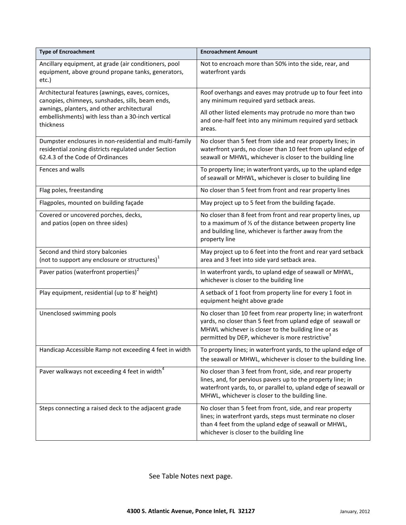| <b>Type of Encroachment</b>                                                                                                                                                                                           | <b>Encroachment Amount</b>                                                                                                                                                                                                                          |
|-----------------------------------------------------------------------------------------------------------------------------------------------------------------------------------------------------------------------|-----------------------------------------------------------------------------------------------------------------------------------------------------------------------------------------------------------------------------------------------------|
| Ancillary equipment, at grade (air conditioners, pool<br>equipment, above ground propane tanks, generators,<br>etc.)                                                                                                  | Not to encroach more than 50% into the side, rear, and<br>waterfront yards                                                                                                                                                                          |
| Architectural features (awnings, eaves, cornices,<br>canopies, chimneys, sunshades, sills, beam ends,<br>awnings, planters, and other architectural<br>embellishments) with less than a 30-inch vertical<br>thickness | Roof overhangs and eaves may protrude up to four feet into<br>any minimum required yard setback areas.<br>All other listed elements may protrude no more than two<br>and one-half feet into any minimum required yard setback<br>areas.             |
| Dumpster enclosures in non-residential and multi-family<br>residential zoning districts regulated under Section<br>62.4.3 of the Code of Ordinances                                                                   | No closer than 5 feet from side and rear property lines; in<br>waterfront yards, no closer than 10 feet from upland edge of<br>seawall or MHWL, whichever is closer to the building line                                                            |
| Fences and walls                                                                                                                                                                                                      | To property line; in waterfront yards, up to the upland edge<br>of seawall or MHWL, whichever is closer to building line                                                                                                                            |
| Flag poles, freestanding                                                                                                                                                                                              | No closer than 5 feet from front and rear property lines                                                                                                                                                                                            |
| Flagpoles, mounted on building façade                                                                                                                                                                                 | May project up to 5 feet from the building façade.                                                                                                                                                                                                  |
| Covered or uncovered porches, decks,<br>and patios (open on three sides)                                                                                                                                              | No closer than 8 feet from front and rear property lines, up<br>to a maximum of 1/3 of the distance between property line<br>and building line, whichever is farther away from the<br>property line                                                 |
| Second and third story balconies<br>(not to support any enclosure or structures) <sup>1</sup>                                                                                                                         | May project up to 6 feet into the front and rear yard setback<br>area and 3 feet into side yard setback area.                                                                                                                                       |
| Paver patios (waterfront properties) <sup>2</sup>                                                                                                                                                                     | In waterfront yards, to upland edge of seawall or MHWL,<br>whichever is closer to the building line                                                                                                                                                 |
| Play equipment, residential (up to 8' height)                                                                                                                                                                         | A setback of 1 foot from property line for every 1 foot in<br>equipment height above grade                                                                                                                                                          |
| Unenclosed swimming pools                                                                                                                                                                                             | No closer than 10 feet from rear property line; in waterfront<br>yards, no closer than 5 feet from upland edge of seawall or<br>MHWL whichever is closer to the building line or as<br>permitted by DEP, whichever is more restrictive <sup>3</sup> |
| Handicap Accessible Ramp not exceeding 4 feet in width                                                                                                                                                                | To property lines; in waterfront yards, to the upland edge of<br>the seawall or MHWL, whichever is closer to the building line.                                                                                                                     |
| Paver walkways not exceeding 4 feet in width <sup>4</sup>                                                                                                                                                             | No closer than 3 feet from front, side, and rear property<br>lines, and, for pervious pavers up to the property line; in<br>waterfront yards, to, or parallel to, upland edge of seawall or<br>MHWL, whichever is closer to the building line.      |
| Steps connecting a raised deck to the adjacent grade                                                                                                                                                                  | No closer than 5 feet from front, side, and rear property<br>lines; in waterfront yards, steps must terminate no closer<br>than 4 feet from the upland edge of seawall or MHWL,<br>whichever is closer to the building line                         |

See Table Notes next page.